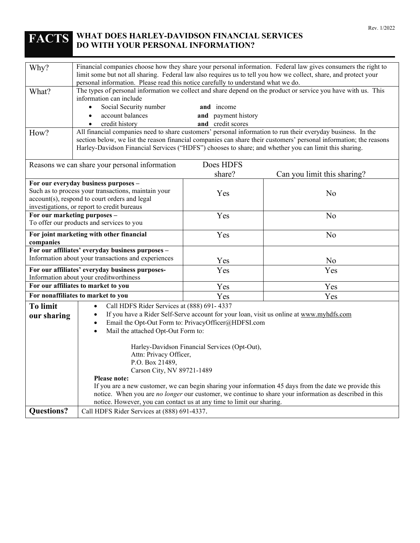# **FACTS WHAT DOES HARLEY-DAVIDSON FINANCIAL SERVICES DO WITH YOUR PERSONAL INFORMATION?**

| Why?                                                                                                                                                                                        | Financial companies choose how they share your personal information. Federal law gives consumers the right to<br>limit some but not all sharing. Federal law also requires us to tell you how we collect, share, and protect your<br>personal information. Please read this notice carefully to understand what we do.                                                                                                                                                                                                                                                                                                                                                                                        |                                                        |                                                                                                                                                                                                                                |  |
|---------------------------------------------------------------------------------------------------------------------------------------------------------------------------------------------|---------------------------------------------------------------------------------------------------------------------------------------------------------------------------------------------------------------------------------------------------------------------------------------------------------------------------------------------------------------------------------------------------------------------------------------------------------------------------------------------------------------------------------------------------------------------------------------------------------------------------------------------------------------------------------------------------------------|--------------------------------------------------------|--------------------------------------------------------------------------------------------------------------------------------------------------------------------------------------------------------------------------------|--|
| What?<br>How?                                                                                                                                                                               | information can include<br>Social Security number<br>$\bullet$<br>account balances<br>$\bullet$<br>credit history<br>$\bullet$                                                                                                                                                                                                                                                                                                                                                                                                                                                                                                                                                                                | and income<br>and payment history<br>and credit scores | The types of personal information we collect and share depend on the product or service you have with us. This<br>All financial companies need to share customers' personal information to run their everyday business. In the |  |
|                                                                                                                                                                                             | section below, we list the reason financial companies can share their customers' personal information; the reasons<br>Harley-Davidson Financial Services ("HDFS") chooses to share; and whether you can limit this sharing.                                                                                                                                                                                                                                                                                                                                                                                                                                                                                   |                                                        |                                                                                                                                                                                                                                |  |
|                                                                                                                                                                                             | Reasons we can share your personal information                                                                                                                                                                                                                                                                                                                                                                                                                                                                                                                                                                                                                                                                | Does HDFS                                              |                                                                                                                                                                                                                                |  |
|                                                                                                                                                                                             |                                                                                                                                                                                                                                                                                                                                                                                                                                                                                                                                                                                                                                                                                                               | share?                                                 | Can you limit this sharing?                                                                                                                                                                                                    |  |
| For our everyday business purposes -<br>Such as to process your transactions, maintain your<br>account(s), respond to court orders and legal<br>investigations, or report to credit bureaus |                                                                                                                                                                                                                                                                                                                                                                                                                                                                                                                                                                                                                                                                                                               | Yes                                                    | No                                                                                                                                                                                                                             |  |
| For our marketing purposes -<br>To offer our products and services to you                                                                                                                   |                                                                                                                                                                                                                                                                                                                                                                                                                                                                                                                                                                                                                                                                                                               | Yes                                                    | No                                                                                                                                                                                                                             |  |
| For joint marketing with other financial<br>companies                                                                                                                                       |                                                                                                                                                                                                                                                                                                                                                                                                                                                                                                                                                                                                                                                                                                               | Yes                                                    | N <sub>o</sub>                                                                                                                                                                                                                 |  |
| For our affiliates' everyday business purposes -<br>Information about your transactions and experiences                                                                                     |                                                                                                                                                                                                                                                                                                                                                                                                                                                                                                                                                                                                                                                                                                               | Yes                                                    | N <sub>o</sub>                                                                                                                                                                                                                 |  |
| For our affiliates' everyday business purposes-<br>Information about your creditworthiness                                                                                                  |                                                                                                                                                                                                                                                                                                                                                                                                                                                                                                                                                                                                                                                                                                               | Yes                                                    | Yes                                                                                                                                                                                                                            |  |
| For our affiliates to market to you                                                                                                                                                         |                                                                                                                                                                                                                                                                                                                                                                                                                                                                                                                                                                                                                                                                                                               | Yes                                                    | Yes                                                                                                                                                                                                                            |  |
|                                                                                                                                                                                             | For nonaffiliates to market to you                                                                                                                                                                                                                                                                                                                                                                                                                                                                                                                                                                                                                                                                            | Yes                                                    | Yes                                                                                                                                                                                                                            |  |
| <b>To limit</b><br>our sharing                                                                                                                                                              | Call HDFS Rider Services at (888) 691-4337<br>$\bullet$<br>If you have a Rider Self-Serve account for your loan, visit us online at www.myhdfs.com<br>Email the Opt-Out Form to: PrivacyOfficer@HDFSI.com<br>Mail the attached Opt-Out Form to:<br>$\bullet$<br>Harley-Davidson Financial Services (Opt-Out),<br>Attn: Privacy Officer,<br>P.O. Box 21489,<br>Carson City, NV 89721-1489<br><b>Please note:</b><br>If you are a new customer, we can begin sharing your information 45 days from the date we provide this<br>notice. When you are no longer our customer, we continue to share your information as described in this<br>notice. However, you can contact us at any time to limit our sharing. |                                                        |                                                                                                                                                                                                                                |  |
| <b>Questions?</b>                                                                                                                                                                           | Call HDFS Rider Services at (888) 691-4337.                                                                                                                                                                                                                                                                                                                                                                                                                                                                                                                                                                                                                                                                   |                                                        |                                                                                                                                                                                                                                |  |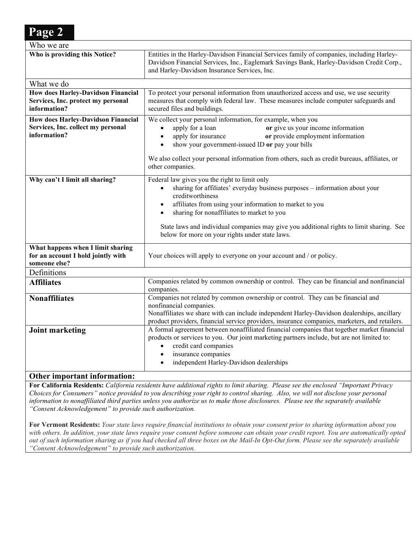| Who we are                                                                               |                                                                                                                                                                                                                                                                                                                                                                                              |
|------------------------------------------------------------------------------------------|----------------------------------------------------------------------------------------------------------------------------------------------------------------------------------------------------------------------------------------------------------------------------------------------------------------------------------------------------------------------------------------------|
| Who is providing this Notice?                                                            | Entities in the Harley-Davidson Financial Services family of companies, including Harley-<br>Davidson Financial Services, Inc., Eaglemark Savings Bank, Harley-Davidson Credit Corp.,<br>and Harley-Davidson Insurance Services, Inc.                                                                                                                                                        |
| What we do                                                                               |                                                                                                                                                                                                                                                                                                                                                                                              |
| <b>How does Harley-Davidson Financial</b>                                                | To protect your personal information from unauthorized access and use, we use security                                                                                                                                                                                                                                                                                                       |
| Services, Inc. protect my personal<br>information?                                       | measures that comply with federal law. These measures include computer safeguards and<br>secured files and buildings.                                                                                                                                                                                                                                                                        |
| <b>How does Harley-Davidson Financial</b>                                                | We collect your personal information, for example, when you                                                                                                                                                                                                                                                                                                                                  |
| Services, Inc. collect my personal                                                       | apply for a loan<br>or give us your income information<br>$\bullet$                                                                                                                                                                                                                                                                                                                          |
| information?                                                                             | apply for insurance<br>or provide employment information<br>$\bullet$<br>show your government-issued ID or pay your bills<br>$\bullet$                                                                                                                                                                                                                                                       |
|                                                                                          | We also collect your personal information from others, such as credit bureaus, affiliates, or<br>other companies.                                                                                                                                                                                                                                                                            |
| Why can't I limit all sharing?                                                           | Federal law gives you the right to limit only<br>sharing for affiliates' everyday business purposes - information about your<br>$\bullet$<br>creditworthiness<br>affiliates from using your information to market to you<br>$\bullet$<br>sharing for nonaffiliates to market to you<br>$\bullet$<br>State laws and individual companies may give you additional rights to limit sharing. See |
|                                                                                          | below for more on your rights under state laws.                                                                                                                                                                                                                                                                                                                                              |
| What happens when I limit sharing<br>for an account I hold jointly with<br>someone else? | Your choices will apply to everyone on your account and / or policy.                                                                                                                                                                                                                                                                                                                         |
| Definitions                                                                              |                                                                                                                                                                                                                                                                                                                                                                                              |
| <b>Affiliates</b>                                                                        | Companies related by common ownership or control. They can be financial and nonfinancial<br>companies.                                                                                                                                                                                                                                                                                       |
| <b>Nonaffiliates</b>                                                                     | Companies not related by common ownership or control. They can be financial and<br>nonfinancial companies.<br>Nonaffiliates we share with can include independent Harley-Davidson dealerships, ancillary<br>product providers, financial service providers, insurance companies, marketers, and retailers.                                                                                   |
| <b>Joint marketing</b><br>Othau important information                                    | A formal agreement between nonaffiliated financial companies that together market financial<br>products or services to you. Our joint marketing partners include, but are not limited to:<br>credit card companies<br>$\bullet$<br>insurance companies<br>$\bullet$<br>independent Harley-Davidson dealerships                                                                               |

# **Other important information:**

**Page 2**

**For California Residents:** *California residents have additional rights to limit sharing. Please see the enclosed "Important Privacy Choices for Consumers" notice provided to you describing your right to control sharing. Also, we will not disclose your personal information to nonaffiliated third parties unless you authorize us to make those disclosures. Please see the separately available "Consent Acknowledgement" to provide such authorization.*

**For Vermont Residents:** *Your state laws require financial institutions to obtain your consent prior to sharing information about you with others. In addition, your state laws require your consent before someone can obtain your credit report. You are automatically opted out of such information sharing as if you had checked all three boxes on the Mail-In Opt-Out form. Please see the separately available "Consent Acknowledgement" to provide such authorization.*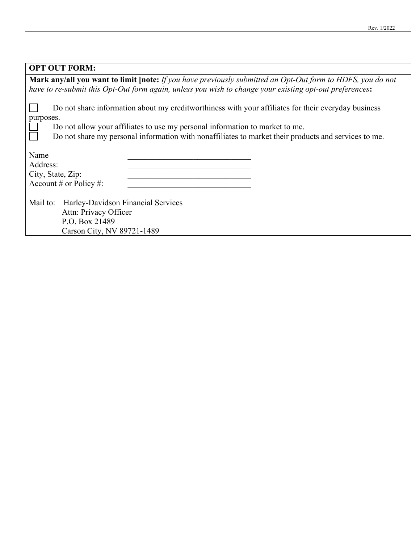| <b>OPT OUT FORM:</b>                                                                                              |  |  |  |
|-------------------------------------------------------------------------------------------------------------------|--|--|--|
| <b>Mark any/all you want to limit [note:</b> If you have previously submitted an Opt-Out form to HDFS, you do not |  |  |  |
| have to re-submit this Opt-Out form again, unless you wish to change your existing opt-out preferences:           |  |  |  |
| Do not share information about my creditworthiness with your affiliates for their everyday business<br>purposes.  |  |  |  |
| Do not allow your affiliates to use my personal information to market to me.                                      |  |  |  |
| Do not share my personal information with nonaffiliates to market their products and services to me.              |  |  |  |
|                                                                                                                   |  |  |  |
| Name                                                                                                              |  |  |  |
| Address:                                                                                                          |  |  |  |
| City, State, Zip:                                                                                                 |  |  |  |
| Account # or Policy #:                                                                                            |  |  |  |
|                                                                                                                   |  |  |  |
| Mail to:<br>Harley-Davidson Financial Services                                                                    |  |  |  |
| Attn: Privacy Officer                                                                                             |  |  |  |
| P.O. Box 21489                                                                                                    |  |  |  |
| Carson City, NV 89721-1489                                                                                        |  |  |  |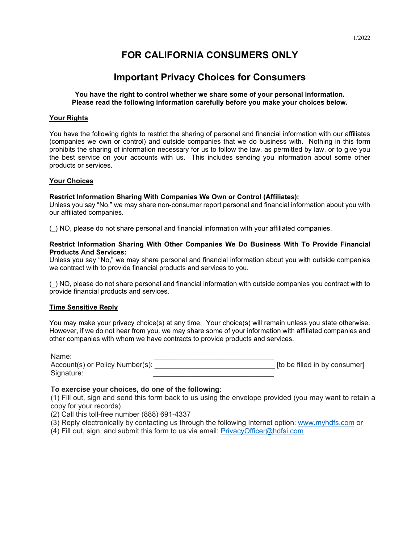# **FOR CALIFORNIA CONSUMERS ONLY**

# **Important Privacy Choices for Consumers**

# **You have the right to control whether we share some of your personal information. Please read the following information carefully before you make your choices below.**

# **Your Rights**

You have the following rights to restrict the sharing of personal and financial information with our affiliates (companies we own or control) and outside companies that we do business with. Nothing in this form prohibits the sharing of information necessary for us to follow the law, as permitted by law, or to give you the best service on your accounts with us. This includes sending you information about some other products or services.

# **Your Choices**

#### **Restrict Information Sharing With Companies We Own or Control (Affiliates):**

Unless you say "No," we may share non-consumer report personal and financial information about you with our affiliated companies.

(\_) NO, please do not share personal and financial information with your affiliated companies.

#### **Restrict Information Sharing With Other Companies We Do Business With To Provide Financial Products And Services:**

Unless you say "No," we may share personal and financial information about you with outside companies we contract with to provide financial products and services to you.

(\_) NO, please do not share personal and financial information with outside companies you contract with to provide financial products and services.

#### **Time Sensitive Reply**

You may make your privacy choice(s) at any time. Your choice(s) will remain unless you state otherwise. However, if we do not hear from you, we may share some of your information with affiliated companies and other companies with whom we have contracts to provide products and services.

| Name:                           |                               |
|---------------------------------|-------------------------------|
| Account(s) or Policy Number(s): | [to be filled in by consumer] |
| Signature:                      |                               |

# **To exercise your choices, do one of the following**:

(1) Fill out, sign and send this form back to us using the envelope provided (you may want to retain a copy for your records)

(2) Call this toll-free number (888) 691-4337

- (3) Reply electronically by contacting us through the following Internet option: [www.myhdfs.com](http://www.myhdfs.com/) or
- (4) Fill out, sign, and submit this form to us via email: [PrivacyOfficer@hdfsi.com](mailto:PrivacyOfficer@hdfsi.com)